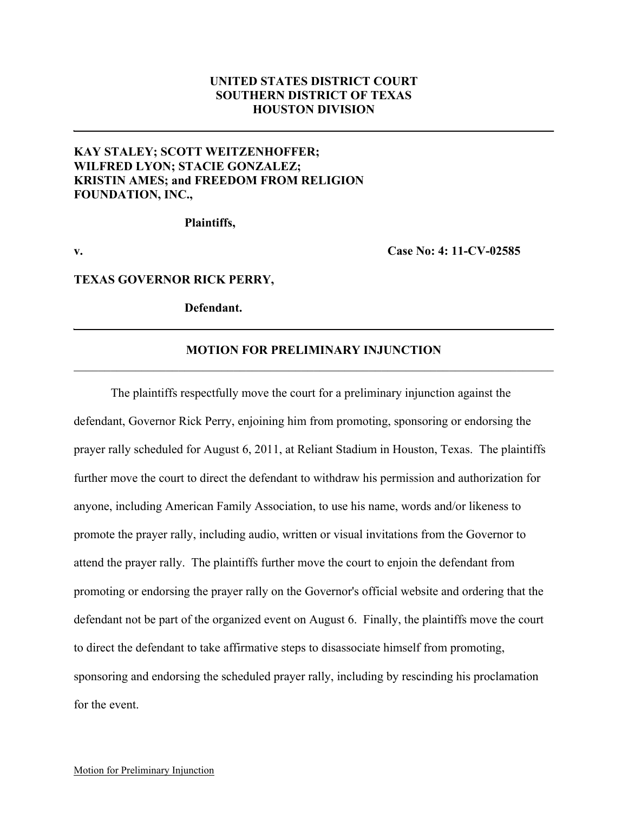## **UNITED STATES DISTRICT COURT SOUTHERN DISTRICT OF TEXAS HOUSTON DIVISION**

## **KAY STALEY; SCOTT WEITZENHOFFER; WILFRED LYON; STACIE GONZALEZ; KRISTIN AMES; and FREEDOM FROM RELIGION FOUNDATION, INC.,**

**Plaintiffs,**

**v. Case No: 4: 11-CV-02585**

**TEXAS GOVERNOR RICK PERRY,** 

**Defendant.**

## **MOTION FOR PRELIMINARY INJUNCTION**  $\mathcal{L}_\mathcal{L} = \{ \mathcal{L}_\mathcal{L} = \{ \mathcal{L}_\mathcal{L} = \{ \mathcal{L}_\mathcal{L} = \{ \mathcal{L}_\mathcal{L} = \{ \mathcal{L}_\mathcal{L} = \{ \mathcal{L}_\mathcal{L} = \{ \mathcal{L}_\mathcal{L} = \{ \mathcal{L}_\mathcal{L} = \{ \mathcal{L}_\mathcal{L} = \{ \mathcal{L}_\mathcal{L} = \{ \mathcal{L}_\mathcal{L} = \{ \mathcal{L}_\mathcal{L} = \{ \mathcal{L}_\mathcal{L} = \{ \mathcal{L}_\mathcal{$

The plaintiffs respectfully move the court for a preliminary injunction against the defendant, Governor Rick Perry, enjoining him from promoting, sponsoring or endorsing the prayer rally scheduled for August 6, 2011, at Reliant Stadium in Houston, Texas. The plaintiffs further move the court to direct the defendant to withdraw his permission and authorization for anyone, including American Family Association, to use his name, words and/or likeness to promote the prayer rally, including audio, written or visual invitations from the Governor to attend the prayer rally. The plaintiffs further move the court to enjoin the defendant from promoting or endorsing the prayer rally on the Governor's official website and ordering that the defendant not be part of the organized event on August 6. Finally, the plaintiffs move the court to direct the defendant to take affirmative steps to disassociate himself from promoting, sponsoring and endorsing the scheduled prayer rally, including by rescinding his proclamation for the event.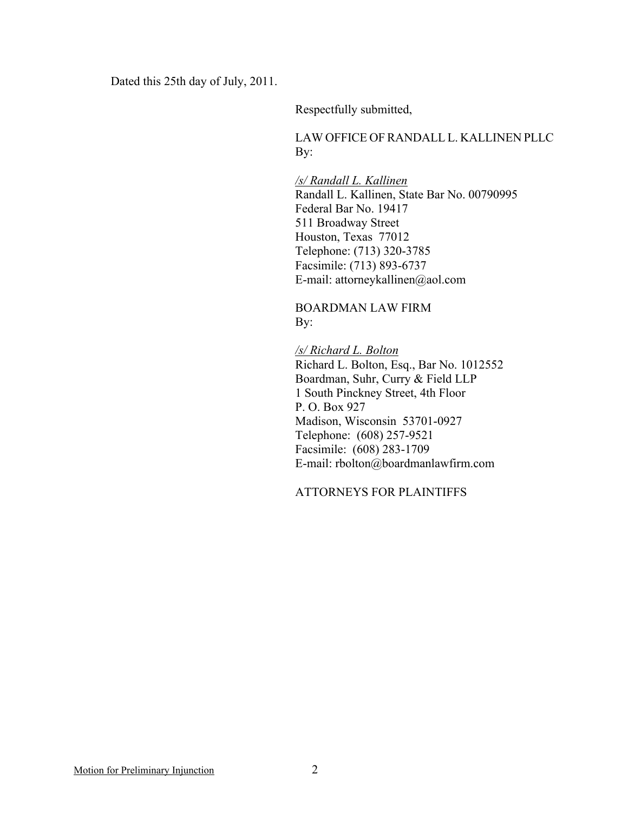Dated this 25th day of July, 2011.

Respectfully submitted,

LAW OFFICE OF RANDALL L. KALLINEN PLLC By:

*/s/ Randall L. Kallinen* Randall L. Kallinen, State Bar No. 00790995 Federal Bar No. 19417 511 Broadway Street Houston, Texas 77012 Telephone: (713) 320-3785 Facsimile: (713) 893-6737 E-mail: attorneykallinen@aol.com

BOARDMAN LAW FIRM By:

*/s/ Richard L. Bolton* Richard L. Bolton, Esq., Bar No. 1012552 Boardman, Suhr, Curry & Field LLP 1 South Pinckney Street, 4th Floor P. O. Box 927 Madison, Wisconsin 53701-0927 Telephone: (608) 257-9521 Facsimile: (608) 283-1709 E-mail: rbolton@boardmanlawfirm.com

ATTORNEYS FOR PLAINTIFFS